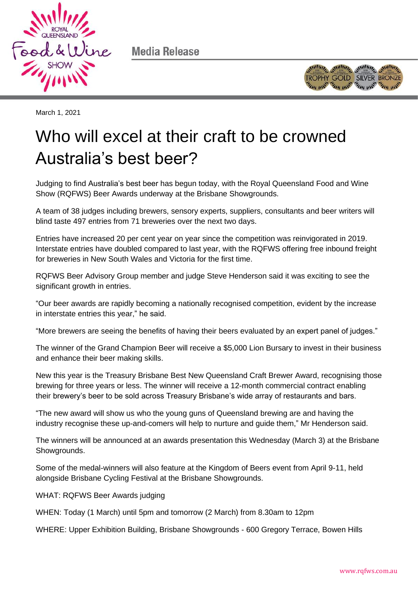

Media Release



March 1, 2021

## Who will excel at their craft to be crowned Australia's best beer?

Judging to find Australia's best beer has begun today, with the Royal Queensland Food and Wine Show (RQFWS) Beer Awards underway at the Brisbane Showgrounds.

A team of 38 judges including brewers, sensory experts, suppliers, consultants and beer writers will blind taste 497 entries from 71 breweries over the next two days.

Entries have increased 20 per cent year on year since the competition was reinvigorated in 2019. Interstate entries have doubled compared to last year, with the RQFWS offering free inbound freight for breweries in New South Wales and Victoria for the first time.

RQFWS Beer Advisory Group member and judge Steve Henderson said it was exciting to see the significant growth in entries.

"Our beer awards are rapidly becoming a nationally recognised competition, evident by the increase in interstate entries this year," he said.

"More brewers are seeing the benefits of having their beers evaluated by an expert panel of judges."

The winner of the Grand Champion Beer will receive a \$5,000 Lion Bursary to invest in their business and enhance their beer making skills.

New this year is the Treasury Brisbane Best New Queensland Craft Brewer Award, recognising those brewing for three years or less. The winner will receive a 12-month commercial contract enabling their brewery's beer to be sold across Treasury Brisbane's wide array of restaurants and bars.

"The new award will show us who the young guns of Queensland brewing are and having the industry recognise these up-and-comers will help to nurture and guide them," Mr Henderson said.

The winners will be announced at an awards presentation this Wednesday (March 3) at the Brisbane Showgrounds.

Some of the medal-winners will also feature at the Kingdom of Beers event from April 9-11, held alongside Brisbane Cycling Festival at the Brisbane Showgrounds.

WHAT: RQFWS Beer Awards judging

WHEN: Today (1 March) until 5pm and tomorrow (2 March) from 8.30am to 12pm

WHERE: Upper Exhibition Building, Brisbane Showgrounds - 600 Gregory Terrace, Bowen Hills